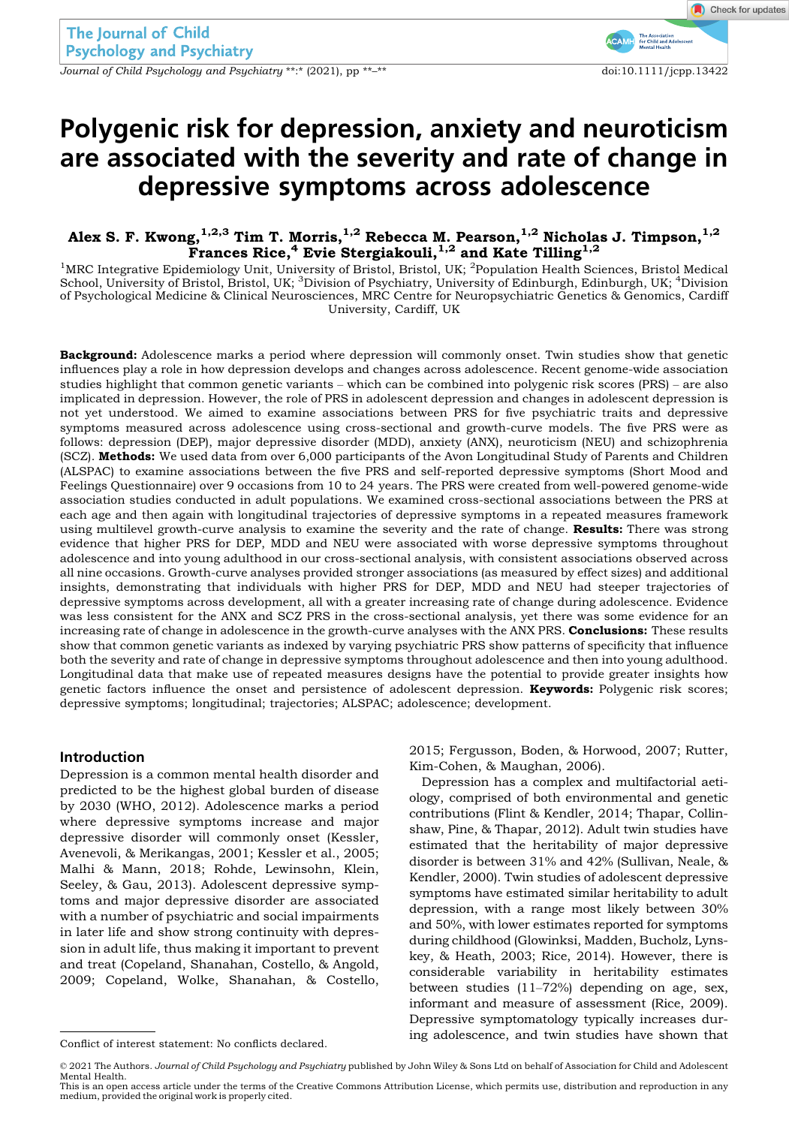Journal of Child Psychology and Psychiatry \*\*:\* (2021), pp \*\*<sup>-\*\*</sup> doi:10.1111/jcpp.13422

# Polygenic risk for depression, anxiety and neuroticism are associated with the severity and rate of change in depressive symptoms across adolescence

# Alex S. F. Kwong, $^{1,2,3}$  Tim T. Morris, $^{1,2}$  Rebecca M. Pearson, $^{1,2}$  Nicholas J. Timpson, $^{1,2}$ Frances Rice,<sup>4</sup> Evie Stergiakouli,  $^{1,2}$  and Kate Tilling  $^{1,2}$

<sup>1</sup>MRC Integrative Epidemiology Unit, University of Bristol, Bristol, UK; <sup>2</sup>Population Health Sciences, Bristol Medical School, University of Bristol, Bristol, UK; <sup>3</sup>Division of Psychiatry, University of Edinburgh, Edinburgh, UK; <sup>4</sup>Division of Psychological Medicine & Clinical Neurosciences, MRC Centre for Neuropsychiatric Genetics & Genomics, Cardiff University, Cardiff, UK

Background: Adolescence marks a period where depression will commonly onset. Twin studies show that genetic influences play a role in how depression develops and changes across adolescence. Recent genome-wide association studies highlight that common genetic variants – which can be combined into polygenic risk scores (PRS) – are also implicated in depression. However, the role of PRS in adolescent depression and changes in adolescent depression is not yet understood. We aimed to examine associations between PRS for five psychiatric traits and depressive symptoms measured across adolescence using cross-sectional and growth-curve models. The five PRS were as follows: depression (DEP), major depressive disorder (MDD), anxiety (ANX), neuroticism (NEU) and schizophrenia (SCZ). Methods: We used data from over 6,000 participants of the Avon Longitudinal Study of Parents and Children (ALSPAC) to examine associations between the five PRS and self-reported depressive symptoms (Short Mood and Feelings Questionnaire) over 9 occasions from 10 to 24 years. The PRS were created from well-powered genome-wide association studies conducted in adult populations. We examined cross-sectional associations between the PRS at each age and then again with longitudinal trajectories of depressive symptoms in a repeated measures framework using multilevel growth-curve analysis to examine the severity and the rate of change. Results: There was strong evidence that higher PRS for DEP, MDD and NEU were associated with worse depressive symptoms throughout adolescence and into young adulthood in our cross-sectional analysis, with consistent associations observed across all nine occasions. Growth-curve analyses provided stronger associations (as measured by effect sizes) and additional insights, demonstrating that individuals with higher PRS for DEP, MDD and NEU had steeper trajectories of depressive symptoms across development, all with a greater increasing rate of change during adolescence. Evidence was less consistent for the ANX and SCZ PRS in the cross-sectional analysis, yet there was some evidence for an increasing rate of change in adolescence in the growth-curve analyses with the ANX PRS. **Conclusions:** These results show that common genetic variants as indexed by varying psychiatric PRS show patterns of specificity that influence both the severity and rate of change in depressive symptoms throughout adolescence and then into young adulthood. Longitudinal data that make use of repeated measures designs have the potential to provide greater insights how genetic factors influence the onset and persistence of adolescent depression. **Keywords:** Polygenic risk scores; depressive symptoms; longitudinal; trajectories; ALSPAC; adolescence; development.

#### Introduction

Depression is a common mental health disorder and predicted to be the highest global burden of disease by 2030 (WHO, 2012). Adolescence marks a period where depressive symptoms increase and major depressive disorder will commonly onset (Kessler, Avenevoli, & Merikangas, 2001; Kessler et al., 2005; Malhi & Mann, 2018; Rohde, Lewinsohn, Klein, Seeley, & Gau, 2013). Adolescent depressive symptoms and major depressive disorder are associated with a number of psychiatric and social impairments in later life and show strong continuity with depression in adult life, thus making it important to prevent and treat (Copeland, Shanahan, Costello, & Angold, 2009; Copeland, Wolke, Shanahan, & Costello,

2015; Fergusson, Boden, & Horwood, 2007; Rutter, Kim-Cohen, & Maughan, 2006).

Depression has a complex and multifactorial aetiology, comprised of both environmental and genetic contributions (Flint & Kendler, 2014; Thapar, Collinshaw, Pine, & Thapar, 2012). Adult twin studies have estimated that the heritability of major depressive disorder is between 31% and 42% (Sullivan, Neale, & Kendler, 2000). Twin studies of adolescent depressive symptoms have estimated similar heritability to adult depression, with a range most likely between 30% and 50%, with lower estimates reported for symptoms during childhood (Glowinksi, Madden, Bucholz, Lynskey, & Heath, 2003; Rice, 2014). However, there is considerable variability in heritability estimates between studies (11–72%) depending on age, sex, informant and measure of assessment (Rice, 2009). Depressive symptomatology typically increases during adolescence, and twin studies have shown that Conflict of interest statement: No conflicts declared.

<sup>© 2021</sup> The Authors. Journal of Child Psychology and Psychiatry published by John Wiley & Sons Ltd on behalf of Association for Child and Adolescent Mental Health.

This is an open access article under the terms of the [Creative Commons Attribution](http://creativecommons.org/licenses/by/4.0/) License, which permits use, distribution and reproduction in any medium, provided the original work is properly cited.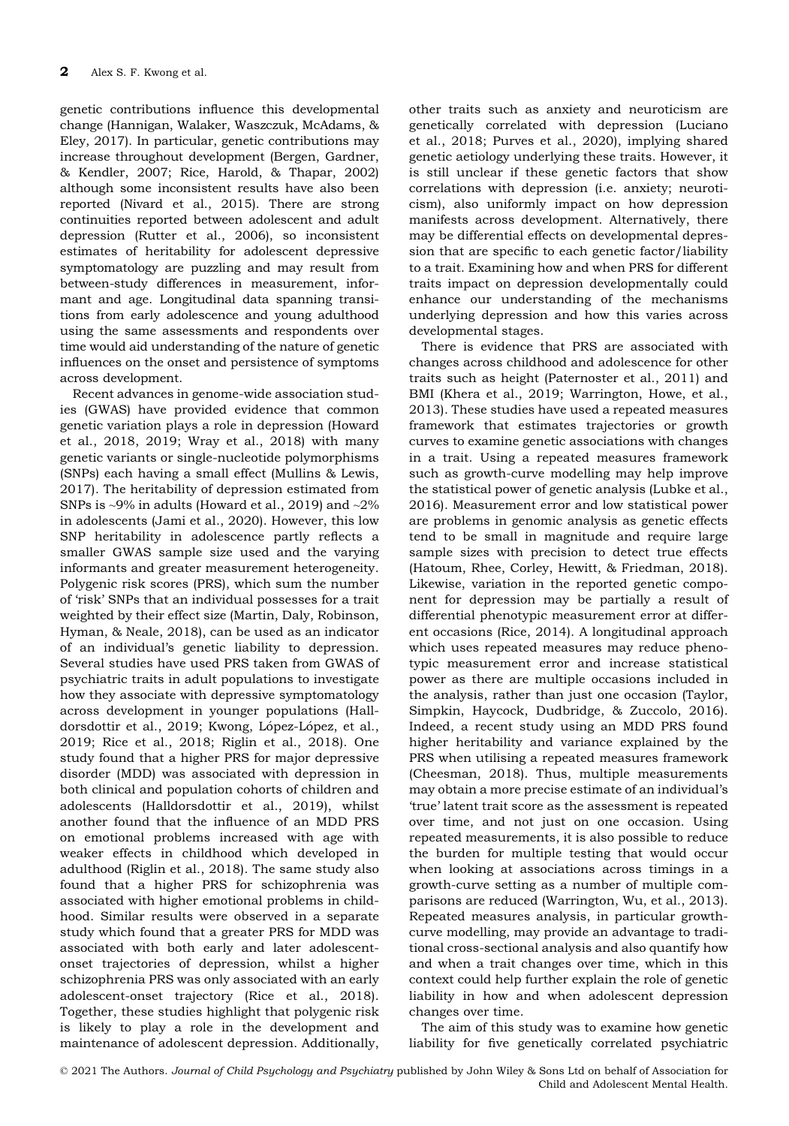genetic contributions influence this developmental change (Hannigan, Walaker, Waszczuk, McAdams, & Eley, 2017). In particular, genetic contributions may increase throughout development (Bergen, Gardner, & Kendler, 2007; Rice, Harold, & Thapar, 2002) although some inconsistent results have also been reported (Nivard et al., 2015). There are strong continuities reported between adolescent and adult depression (Rutter et al., 2006), so inconsistent estimates of heritability for adolescent depressive symptomatology are puzzling and may result from between-study differences in measurement, informant and age. Longitudinal data spanning transitions from early adolescence and young adulthood using the same assessments and respondents over time would aid understanding of the nature of genetic influences on the onset and persistence of symptoms across development.

Recent advances in genome-wide association studies (GWAS) have provided evidence that common genetic variation plays a role in depression (Howard et al., 2018, 2019; Wray et al., 2018) with many genetic variants or single-nucleotide polymorphisms (SNPs) each having a small effect (Mullins & Lewis, 2017). The heritability of depression estimated from SNPs is  $\sim$ 9% in adults (Howard et al., 2019) and  $\sim$ 2% in adolescents (Jami et al., 2020). However, this low SNP heritability in adolescence partly reflects a smaller GWAS sample size used and the varying informants and greater measurement heterogeneity. Polygenic risk scores (PRS), which sum the number of 'risk' SNPs that an individual possesses for a trait weighted by their effect size (Martin, Daly, Robinson, Hyman, & Neale, 2018), can be used as an indicator of an individual's genetic liability to depression. Several studies have used PRS taken from GWAS of psychiatric traits in adult populations to investigate how they associate with depressive symptomatology across development in younger populations (Halldorsdottir et al., 2019; Kwong, López-López, et al., 2019; Rice et al., 2018; Riglin et al., 2018). One study found that a higher PRS for major depressive disorder (MDD) was associated with depression in both clinical and population cohorts of children and adolescents (Halldorsdottir et al., 2019), whilst another found that the influence of an MDD PRS on emotional problems increased with age with weaker effects in childhood which developed in adulthood (Riglin et al., 2018). The same study also found that a higher PRS for schizophrenia was associated with higher emotional problems in childhood. Similar results were observed in a separate study which found that a greater PRS for MDD was associated with both early and later adolescentonset trajectories of depression, whilst a higher schizophrenia PRS was only associated with an early adolescent-onset trajectory (Rice et al., 2018). Together, these studies highlight that polygenic risk is likely to play a role in the development and maintenance of adolescent depression. Additionally,

other traits such as anxiety and neuroticism are genetically correlated with depression (Luciano et al., 2018; Purves et al., 2020), implying shared genetic aetiology underlying these traits. However, it is still unclear if these genetic factors that show correlations with depression (i.e. anxiety; neuroticism), also uniformly impact on how depression manifests across development. Alternatively, there may be differential effects on developmental depression that are specific to each genetic factor/liability to a trait. Examining how and when PRS for different traits impact on depression developmentally could enhance our understanding of the mechanisms underlying depression and how this varies across developmental stages.

There is evidence that PRS are associated with changes across childhood and adolescence for other traits such as height (Paternoster et al., 2011) and BMI (Khera et al., 2019; Warrington, Howe, et al., 2013). These studies have used a repeated measures framework that estimates trajectories or growth curves to examine genetic associations with changes in a trait. Using a repeated measures framework such as growth-curve modelling may help improve the statistical power of genetic analysis (Lubke et al., 2016). Measurement error and low statistical power are problems in genomic analysis as genetic effects tend to be small in magnitude and require large sample sizes with precision to detect true effects (Hatoum, Rhee, Corley, Hewitt, & Friedman, 2018). Likewise, variation in the reported genetic component for depression may be partially a result of differential phenotypic measurement error at different occasions (Rice, 2014). A longitudinal approach which uses repeated measures may reduce phenotypic measurement error and increase statistical power as there are multiple occasions included in the analysis, rather than just one occasion (Taylor, Simpkin, Haycock, Dudbridge, & Zuccolo, 2016). Indeed, a recent study using an MDD PRS found higher heritability and variance explained by the PRS when utilising a repeated measures framework (Cheesman, 2018). Thus, multiple measurements may obtain a more precise estimate of an individual's 'true' latent trait score as the assessment is repeated over time, and not just on one occasion. Using repeated measurements, it is also possible to reduce the burden for multiple testing that would occur when looking at associations across timings in a growth-curve setting as a number of multiple comparisons are reduced (Warrington, Wu, et al., 2013). Repeated measures analysis, in particular growthcurve modelling, may provide an advantage to traditional cross-sectional analysis and also quantify how and when a trait changes over time, which in this context could help further explain the role of genetic liability in how and when adolescent depression changes over time.

The aim of this study was to examine how genetic liability for five genetically correlated psychiatric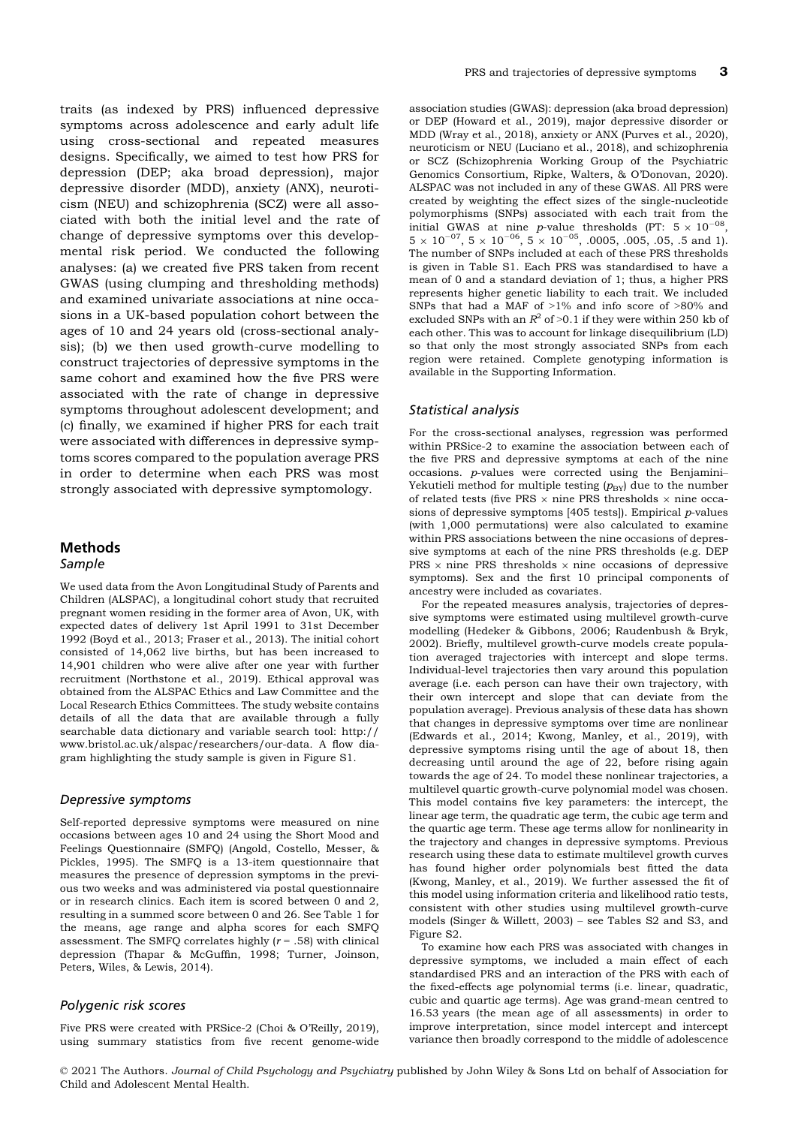traits (as indexed by PRS) influenced depressive symptoms across adolescence and early adult life using cross-sectional and repeated measures designs. Specifically, we aimed to test how PRS for depression (DEP; aka broad depression), major depressive disorder (MDD), anxiety (ANX), neuroticism (NEU) and schizophrenia (SCZ) were all associated with both the initial level and the rate of change of depressive symptoms over this developmental risk period. We conducted the following analyses: (a) we created five PRS taken from recent GWAS (using clumping and thresholding methods) and examined univariate associations at nine occasions in a UK-based population cohort between the ages of 10 and 24 years old (cross-sectional analysis); (b) we then used growth-curve modelling to construct trajectories of depressive symptoms in the same cohort and examined how the five PRS were associated with the rate of change in depressive symptoms throughout adolescent development; and (c) finally, we examined if higher PRS for each trait were associated with differences in depressive symptoms scores compared to the population average PRS in order to determine when each PRS was most strongly associated with depressive symptomology.

## **Methods**

#### Sample

We used data from the Avon Longitudinal Study of Parents and Children (ALSPAC), a longitudinal cohort study that recruited pregnant women residing in the former area of Avon, UK, with expected dates of delivery 1st April 1991 to 31st December 1992 (Boyd et al., 2013; Fraser et al., 2013). The initial cohort consisted of 14,062 live births, but has been increased to 14,901 children who were alive after one year with further recruitment (Northstone et al., 2019). Ethical approval was obtained from the ALSPAC Ethics and Law Committee and the Local Research Ethics Committees. The study website contains details of all the data that are available through a fully searchable data dictionary and variable search tool: [http://](http://www.bristol.ac.uk/alspac/researchers/our-data) [www.bristol.ac.uk/alspac/researchers/our-data.](http://www.bristol.ac.uk/alspac/researchers/our-data) A flow diagram highlighting the study sample is given in Figure S1.

#### Depressive symptoms

Self-reported depressive symptoms were measured on nine occasions between ages 10 and 24 using the Short Mood and Feelings Questionnaire (SMFQ) (Angold, Costello, Messer, & Pickles, 1995). The SMFQ is a 13-item questionnaire that measures the presence of depression symptoms in the previous two weeks and was administered via postal questionnaire or in research clinics. Each item is scored between 0 and 2, resulting in a summed score between 0 and 26. See Table 1 for the means, age range and alpha scores for each SMFQ assessment. The SMFQ correlates highly  $(r = .58)$  with clinical depression (Thapar & McGuffin, 1998; Turner, Joinson, Peters, Wiles, & Lewis, 2014).

## Polygenic risk scores

Five PRS were created with PRSice-2 (Choi & O'Reilly, 2019), using summary statistics from five recent genome-wide

association studies (GWAS): depression (aka broad depression) or DEP (Howard et al., 2019), major depressive disorder or MDD (Wray et al., 2018), anxiety or ANX (Purves et al., 2020), neuroticism or NEU (Luciano et al., 2018), and schizophrenia or SCZ (Schizophrenia Working Group of the Psychiatric Genomics Consortium, Ripke, Walters, & O'Donovan, 2020). ALSPAC was not included in any of these GWAS. All PRS were created by weighting the effect sizes of the single-nucleotide polymorphisms (SNPs) associated with each trait from the initial GWAS at nine *p*-value thresholds (PT:  $5 \times 10^{-08}$ ,  $5 \times 10^{-07}$ ,  $5 \times 10^{-06}$ ,  $5 \times 10^{-05}$ , .0005, .005, .05, .5 and 1). The number of SNPs included at each of these PRS thresholds is given in Table S1. Each PRS was standardised to have a mean of 0 and a standard deviation of 1; thus, a higher PRS represents higher genetic liability to each trait. We included SNPs that had a MAF of >1% and info score of >80% and excluded SNPs with an  $R^2$  of >0.1 if they were within 250 kb of each other. This was to account for linkage disequilibrium (LD) so that only the most strongly associated SNPs from each region were retained. Complete genotyping information is available in the Supporting Information.

#### Statistical analysis

For the cross-sectional analyses, regression was performed within PRSice-2 to examine the association between each of the five PRS and depressive symptoms at each of the nine occasions. p-values were corrected using the Benjamini– Yekutieli method for multiple testing  $(p_{BY})$  due to the number of related tests (five PRS  $\times$  nine PRS thresholds  $\times$  nine occasions of depressive symptoms [405 tests]). Empirical  $p$ -values (with 1,000 permutations) were also calculated to examine within PRS associations between the nine occasions of depressive symptoms at each of the nine PRS thresholds (e.g. DEP PRS  $\times$  nine PRS thresholds  $\times$  nine occasions of depressive symptoms). Sex and the first 10 principal components of ancestry were included as covariates.

For the repeated measures analysis, trajectories of depressive symptoms were estimated using multilevel growth-curve modelling (Hedeker & Gibbons, 2006; Raudenbush & Bryk, 2002). Briefly, multilevel growth-curve models create population averaged trajectories with intercept and slope terms. Individual-level trajectories then vary around this population average (i.e. each person can have their own trajectory, with their own intercept and slope that can deviate from the population average). Previous analysis of these data has shown that changes in depressive symptoms over time are nonlinear (Edwards et al., 2014; Kwong, Manley, et al., 2019), with depressive symptoms rising until the age of about 18, then decreasing until around the age of 22, before rising again towards the age of 24. To model these nonlinear trajectories, a multilevel quartic growth-curve polynomial model was chosen. This model contains five key parameters: the intercept, the linear age term, the quadratic age term, the cubic age term and the quartic age term. These age terms allow for nonlinearity in the trajectory and changes in depressive symptoms. Previous research using these data to estimate multilevel growth curves has found higher order polynomials best fitted the data (Kwong, Manley, et al., 2019). We further assessed the fit of this model using information criteria and likelihood ratio tests, consistent with other studies using multilevel growth-curve models (Singer & Willett, 2003) – see Tables S2 and S3, and Figure S2.

To examine how each PRS was associated with changes in depressive symptoms, we included a main effect of each standardised PRS and an interaction of the PRS with each of the fixed-effects age polynomial terms (i.e. linear, quadratic, cubic and quartic age terms). Age was grand-mean centred to 16.53 years (the mean age of all assessments) in order to improve interpretation, since model intercept and intercept variance then broadly correspond to the middle of adolescence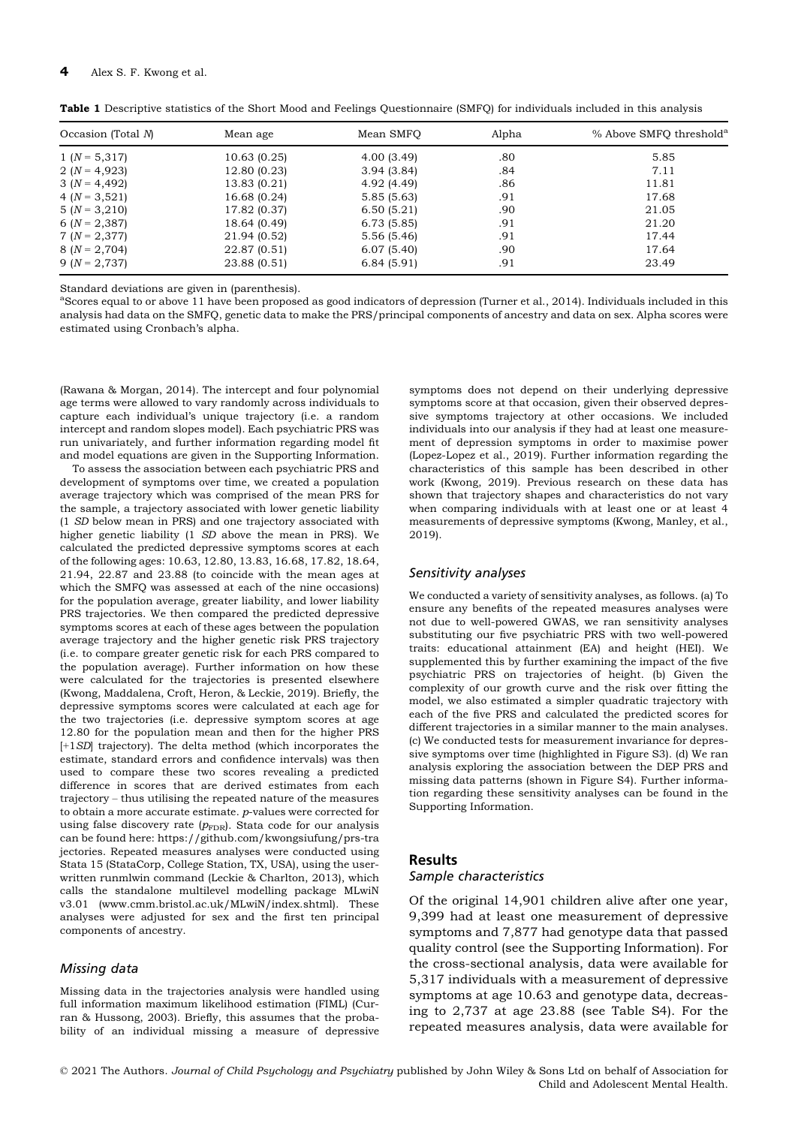| Occasion (Total $N$ ) | Mean age     | Mean SMFO   | Alpha | % Above SMFO threshold <sup>a</sup> |
|-----------------------|--------------|-------------|-------|-------------------------------------|
| $1 (N = 5,317)$       | 10.63(0.25)  | 4.00(3.49)  | .80   | 5.85                                |
| $2(N = 4,923)$        | 12.80 (0.23) | 3.94(3.84)  | .84   | 7.11                                |
| $3(N = 4,492)$        | 13.83 (0.21) | 4.92 (4.49) | .86   | 11.81                               |
| 4 $(N = 3, 521)$      | 16.68 (0.24) | 5.85(5.63)  | .91   | 17.68                               |
| $5(N = 3,210)$        | 17.82 (0.37) | 6.50(5.21)  | .90   | 21.05                               |
| 6 $(N = 2,387)$       | 18.64 (0.49) | 6.73(5.85)  | .91   | 21.20                               |
| $7(N = 2,377)$        | 21.94 (0.52) | 5.56(5.46)  | .91   | 17.44                               |
| $8(N = 2,704)$        | 22.87 (0.51) | 6.07(5.40)  | .90   | 17.64                               |
| $9(N = 2,737)$        | 23.88 (0.51) | 6.84(5.91)  | .91   | 23.49                               |

Table 1 Descriptive statistics of the Short Mood and Feelings Questionnaire (SMFQ) for individuals included in this analysis

Standard deviations are given in (parenthesis).

aScores equal to or above 11 have been proposed as good indicators of depression (Turner et al., 2014). Individuals included in this analysis had data on the SMFQ, genetic data to make the PRS/principal components of ancestry and data on sex. Alpha scores were estimated using Cronbach's alpha.

(Rawana & Morgan, 2014). The intercept and four polynomial age terms were allowed to vary randomly across individuals to capture each individual's unique trajectory (i.e. a random intercept and random slopes model). Each psychiatric PRS was run univariately, and further information regarding model fit and model equations are given in the Supporting Information.

To assess the association between each psychiatric PRS and development of symptoms over time, we created a population average trajectory which was comprised of the mean PRS for the sample, a trajectory associated with lower genetic liability (1 SD below mean in PRS) and one trajectory associated with higher genetic liability (1 SD above the mean in PRS). We calculated the predicted depressive symptoms scores at each of the following ages: 10.63, 12.80, 13.83, 16.68, 17.82, 18.64, 21.94, 22.87 and 23.88 (to coincide with the mean ages at which the SMFQ was assessed at each of the nine occasions) for the population average, greater liability, and lower liability PRS trajectories. We then compared the predicted depressive symptoms scores at each of these ages between the population average trajectory and the higher genetic risk PRS trajectory (i.e. to compare greater genetic risk for each PRS compared to the population average). Further information on how these were calculated for the trajectories is presented elsewhere (Kwong, Maddalena, Croft, Heron, & Leckie, 2019). Briefly, the depressive symptoms scores were calculated at each age for the two trajectories (i.e. depressive symptom scores at age 12.80 for the population mean and then for the higher PRS [+1SD] trajectory). The delta method (which incorporates the estimate, standard errors and confidence intervals) was then used to compare these two scores revealing a predicted difference in scores that are derived estimates from each trajectory – thus utilising the repeated nature of the measures to obtain a more accurate estimate. p-values were corrected for using false discovery rate  $(p_{\text{FDR}})$ . Stata code for our analysis can be found here: [https://github.com/kwongsiufung/prs-tra](https://github.com/kwongsiufung/prs-trajectories) [jectories.](https://github.com/kwongsiufung/prs-trajectories) Repeated measures analyses were conducted using Stata 15 (StataCorp, College Station, TX, USA), using the userwritten runmlwin command (Leckie & Charlton, 2013), which calls the standalone multilevel modelling package MLwiN v3.01 [\(www.cmm.bristol.ac.uk/MLwiN/index.shtml](http://www.cmm.bristol.ac.uk/MLwiN/index.shtml)). These analyses were adjusted for sex and the first ten principal components of ancestry.

#### Missing data

Missing data in the trajectories analysis were handled using full information maximum likelihood estimation (FIML) (Curran & Hussong, 2003). Briefly, this assumes that the probability of an individual missing a measure of depressive

symptoms does not depend on their underlying depressive symptoms score at that occasion, given their observed depressive symptoms trajectory at other occasions. We included individuals into our analysis if they had at least one measurement of depression symptoms in order to maximise power (Lopez-Lopez et al., 2019). Further information regarding the characteristics of this sample has been described in other work (Kwong, 2019). Previous research on these data has shown that trajectory shapes and characteristics do not vary when comparing individuals with at least one or at least 4 measurements of depressive symptoms (Kwong, Manley, et al., 2019).

#### Sensitivity analyses

We conducted a variety of sensitivity analyses, as follows. (a) To ensure any benefits of the repeated measures analyses were not due to well-powered GWAS, we ran sensitivity analyses substituting our five psychiatric PRS with two well-powered traits: educational attainment (EA) and height (HEI). We supplemented this by further examining the impact of the five psychiatric PRS on trajectories of height. (b) Given the complexity of our growth curve and the risk over fitting the model, we also estimated a simpler quadratic trajectory with each of the five PRS and calculated the predicted scores for different trajectories in a similar manner to the main analyses. (c) We conducted tests for measurement invariance for depressive symptoms over time (highlighted in Figure S3). (d) We ran analysis exploring the association between the DEP PRS and missing data patterns (shown in Figure S4). Further information regarding these sensitivity analyses can be found in the Supporting Information.

## Results Sample characteristics

Of the original 14,901 children alive after one year, 9,399 had at least one measurement of depressive symptoms and 7,877 had genotype data that passed quality control (see the Supporting Information). For the cross-sectional analysis, data were available for 5,317 individuals with a measurement of depressive symptoms at age 10.63 and genotype data, decreasing to 2,737 at age 23.88 (see Table S4). For the repeated measures analysis, data were available for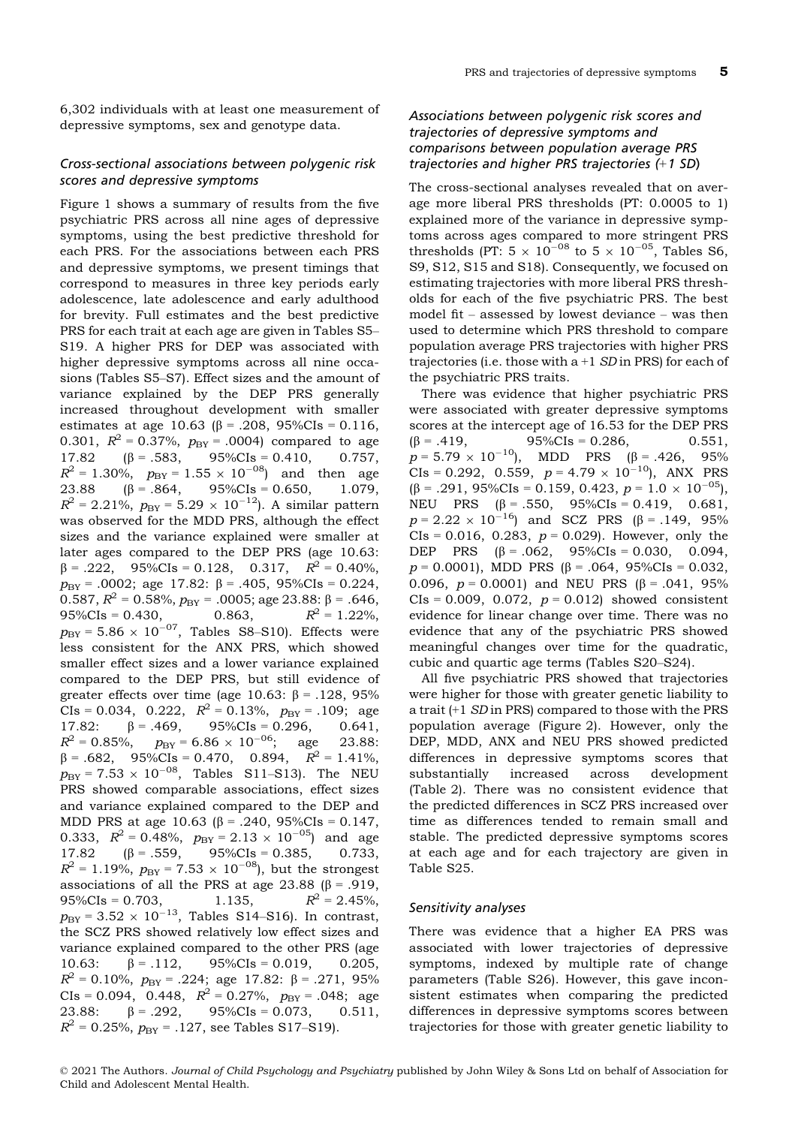6,302 individuals with at least one measurement of depressive symptoms, sex and genotype data.

#### Cross-sectional associations between polygenic risk scores and depressive symptoms

Figure 1 shows a summary of results from the five psychiatric PRS across all nine ages of depressive symptoms, using the best predictive threshold for each PRS. For the associations between each PRS and depressive symptoms, we present timings that correspond to measures in three key periods early adolescence, late adolescence and early adulthood for brevity. Full estimates and the best predictive PRS for each trait at each age are given in Tables S5– S19. A higher PRS for DEP was associated with higher depressive symptoms across all nine occasions (Tables S5–S7). Effect sizes and the amount of variance explained by the DEP PRS generally increased throughout development with smaller estimates at age 10.63 ( $\beta$  = .208, 95%CIs = 0.116, 0.301,  $R^2 = 0.37\%$ ,  $p_{BY} = .0004$ ) compared to age 17.82  $(\beta = .583, 95\% \text{CIs} = 0.410, 0.757,$  $R^2 = 1.30\%$ ,  $p_{BY} = 1.55 \times 10^{-08}$  and then age<br>23.88 ( $\beta = .864$ , 95%CIs = 0.650, 1.079,  $\beta = .864$ , 95%CIs = 0.650, 1.079,  $R^2 = 2.21\%, p_{BY} = 5.29 \times 10^{-12}$ . A similar pattern was observed for the MDD PRS, although the effect sizes and the variance explained were smaller at later ages compared to the DEP PRS (age 10.63:  $\beta = .222$ , 95%CIs = 0.128, 0.317,  $R^2 = 0.40\%$ ,  $p_{BY}$  = .0002; age 17.82:  $\beta$  = .405, 95%CIs = 0.224, 0.587,  $R^2$  = 0.58%,  $p_{BY}$  = .0005; age 23.88:  $\beta$  = .646,<br>95%CIs = 0.430, 0.863,  $R^2$  = 1.22%,  $R^2 = 1.22\%$  $p_{\text{BY}} = 5.86 \times 10^{-07}$ , Tables S8–S10). Effects were less consistent for the ANX PRS, which showed smaller effect sizes and a lower variance explained compared to the DEP PRS, but still evidence of greater effects over time (age 10.63:  $\beta$  = .128, 95% CIs = 0.034, 0.222,  $R^2 = 0.13\%$ ,  $p_{BY} = .109$ ; age<br>17.82:  $\beta = .469$ , 95%CIs = 0.296, 0.641, 17.82:  $\beta = .469$ ,  $95\%$ CIs = 0.296,  $R^2 = 0.85\%, \quad p_{\text{BY}} = 6.86 \times 10^{-06}; \quad \text{age} \quad 23.88:$  $\beta = .682$ , 95%CIs = 0.470, 0.894,  $R^2 = 1.41\%$ ,  $p_{\text{BY}}$  = 7.53  $\times$  10<sup>-08</sup>, Tables S11–S13). The NEU PRS showed comparable associations, effect sizes and variance explained compared to the DEP and MDD PRS at age 10.63 ( $\beta$  = .240, 95%CIs = 0.147, 0.333,  $R^2 = 0.48\%$ ,  $p_{BY} = 2.13 \times 10^{-05}$  and age 17.82  $(\beta = .559, 95\% \text{CIs} = 0.385, 0.733,$  $R^2 = 1.19\%, p_{BY} = 7.53 \times 10^{-08}$ , but the strongest associations of all the PRS at age 23.88 ( $\beta$  = .919, 95%CIs = 0.703, 1.135,  $R^2 = 2.45\%$ ,  $p_{\rm BY} = 3.52 \times 10^{-13}$ , Tables S14–S16). In contrast, the SCZ PRS showed relatively low effect sizes and variance explained compared to the other PRS (age 10.63:  $\beta = .112$ ,  $95\%$ CIs = 0.019, 0.205,  $R^2 = 0.10\%, p_{BY} = .224; \text{ age } 17.82: \beta = .271, 95\%$ CIs = 0.094, 0.448,  $R^2 = 0.27\%$ ,  $p_{BY} = .048$ ; age 23.88:  $\beta = .292$ ,  $95\%$ CIs = 0.073, 0.511,  $R^2$  = 0.25%,  $p_{BY}$  = .127, see Tables S17–S19).

## Associations between polygenic risk scores and trajectories of depressive symptoms and comparisons between population average PRS trajectories and higher PRS trajectories (+1 SD)

The cross-sectional analyses revealed that on average more liberal PRS thresholds (PT: 0.0005 to 1) explained more of the variance in depressive symptoms across ages compared to more stringent PRS thresholds (PT:  $5 \times 10^{-08}$  to  $5 \times 10^{-05}$ , Tables S6, S9, S12, S15 and S18). Consequently, we focused on estimating trajectories with more liberal PRS thresholds for each of the five psychiatric PRS. The best model fit – assessed by lowest deviance – was then used to determine which PRS threshold to compare population average PRS trajectories with higher PRS trajectories (i.e. those with  $a + 1$  SD in PRS) for each of the psychiatric PRS traits.

There was evidence that higher psychiatric PRS were associated with greater depressive symptoms scores at the intercept age of 16.53 for the DEP PRS  $(\beta = .419,$  95%CIs = 0.286, 0.551,  $p = 5.79 \times 10^{-10}$ , MDD PRS ( $\beta = .426$ , 95%)  $CIs = 0.292$ , 0.559,  $p = 4.79 \times 10^{-10}$ ), ANX PRS  $(\beta = .291, 95\%$ CIs = 0.159, 0.423,  $p = 1.0 \times 10^{-05}$ ), NEU PRS  $(\beta = .550, 95\% \text{CIs} = 0.419, 0.681,$  $p = 2.22 \times 10^{-16}$  and SCZ PRS ( $\beta = .149, 95\%$ CIs = 0.016, 0.283,  $p = 0.029$ ). However, only the DEP PRS  $(\beta = .062, 95\% \text{CIs} = 0.030, 0.094,$  $p = 0.0001$ , MDD PRS ( $\beta = .064$ , 95%CIs = 0.032, 0.096,  $p = 0.0001$  and NEU PRS ( $\beta = .041$ , 95%)  $CIs = 0.009, 0.072, p = 0.012$  showed consistent evidence for linear change over time. There was no evidence that any of the psychiatric PRS showed meaningful changes over time for the quadratic, cubic and quartic age terms (Tables S20–S24).

All five psychiatric PRS showed that trajectories were higher for those with greater genetic liability to a trait (+1 SD in PRS) compared to those with the PRS population average (Figure 2). However, only the DEP, MDD, ANX and NEU PRS showed predicted differences in depressive symptoms scores that substantially increased across development (Table 2). There was no consistent evidence that the predicted differences in SCZ PRS increased over time as differences tended to remain small and stable. The predicted depressive symptoms scores at each age and for each trajectory are given in Table S25.

#### Sensitivity analyses

There was evidence that a higher EA PRS was associated with lower trajectories of depressive symptoms, indexed by multiple rate of change parameters (Table S26). However, this gave inconsistent estimates when comparing the predicted differences in depressive symptoms scores between trajectories for those with greater genetic liability to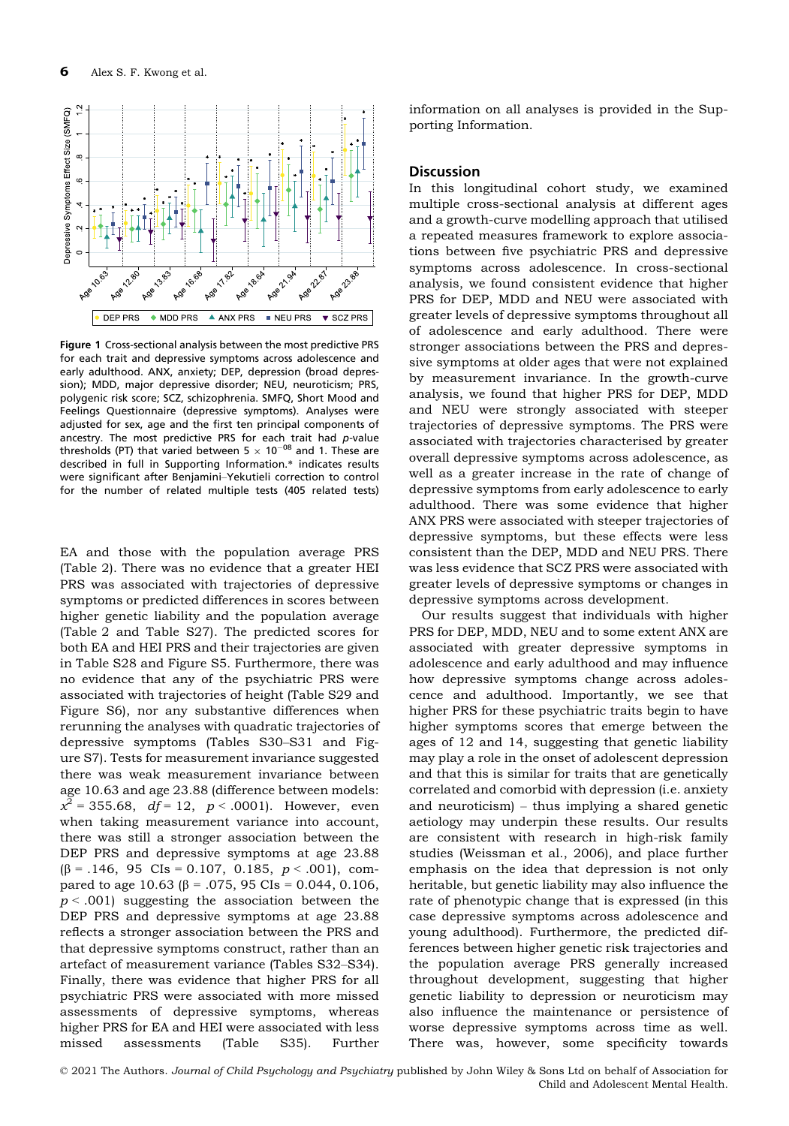

Figure 1 Cross-sectional analysis between the most predictive PRS for each trait and depressive symptoms across adolescence and early adulthood. ANX, anxiety; DEP, depression (broad depression); MDD, major depressive disorder; NEU, neuroticism; PRS, polygenic risk score; SCZ, schizophrenia. SMFQ, Short Mood and Feelings Questionnaire (depressive symptoms). Analyses were adjusted for sex, age and the first ten principal components of ancestry. The most predictive PRS for each trait had p-value thresholds (PT) that varied between 5  $\times$  10<sup>-08</sup> and 1. These are described in full in Supporting Information.\* indicates results were significant after Benjamini–Yekutieli correction to control for the number of related multiple tests (405 related tests)

EA and those with the population average PRS (Table 2). There was no evidence that a greater HEI PRS was associated with trajectories of depressive symptoms or predicted differences in scores between higher genetic liability and the population average (Table 2 and Table S27). The predicted scores for both EA and HEI PRS and their trajectories are given in Table S28 and Figure S5. Furthermore, there was no evidence that any of the psychiatric PRS were associated with trajectories of height (Table S29 and Figure S6), nor any substantive differences when rerunning the analyses with quadratic trajectories of depressive symptoms (Tables S30–S31 and Figure S7). Tests for measurement invariance suggested there was weak measurement invariance between age 10.63 and age 23.88 (difference between models:  $x^2 = 355.68$ ,  $df = 12$ ,  $p < .0001$ ). However, even when taking measurement variance into account, there was still a stronger association between the DEP PRS and depressive symptoms at age 23.88  $(\beta = .146, 95 \text{ CIs} = 0.107, 0.185, p < .001), \text{ com-}$ pared to age 10.63 ( $\beta$  = .075, 95 CIs = 0.044, 0.106,  $p < .001$ ) suggesting the association between the DEP PRS and depressive symptoms at age 23.88 reflects a stronger association between the PRS and that depressive symptoms construct, rather than an artefact of measurement variance (Tables S32–S34). Finally, there was evidence that higher PRS for all psychiatric PRS were associated with more missed assessments of depressive symptoms, whereas higher PRS for EA and HEI were associated with less missed assessments (Table S35). Further

information on all analyses is provided in the Supporting Information.

#### **Discussion**

In this longitudinal cohort study, we examined multiple cross-sectional analysis at different ages and a growth-curve modelling approach that utilised a repeated measures framework to explore associations between five psychiatric PRS and depressive symptoms across adolescence. In cross-sectional analysis, we found consistent evidence that higher PRS for DEP, MDD and NEU were associated with greater levels of depressive symptoms throughout all of adolescence and early adulthood. There were stronger associations between the PRS and depressive symptoms at older ages that were not explained by measurement invariance. In the growth-curve analysis, we found that higher PRS for DEP, MDD and NEU were strongly associated with steeper trajectories of depressive symptoms. The PRS were associated with trajectories characterised by greater overall depressive symptoms across adolescence, as well as a greater increase in the rate of change of depressive symptoms from early adolescence to early adulthood. There was some evidence that higher ANX PRS were associated with steeper trajectories of depressive symptoms, but these effects were less consistent than the DEP, MDD and NEU PRS. There was less evidence that SCZ PRS were associated with greater levels of depressive symptoms or changes in depressive symptoms across development.

Our results suggest that individuals with higher PRS for DEP, MDD, NEU and to some extent ANX are associated with greater depressive symptoms in adolescence and early adulthood and may influence how depressive symptoms change across adolescence and adulthood. Importantly, we see that higher PRS for these psychiatric traits begin to have higher symptoms scores that emerge between the ages of 12 and 14, suggesting that genetic liability may play a role in the onset of adolescent depression and that this is similar for traits that are genetically correlated and comorbid with depression (i.e. anxiety and neuroticism) – thus implying a shared genetic aetiology may underpin these results. Our results are consistent with research in high-risk family studies (Weissman et al., 2006), and place further emphasis on the idea that depression is not only heritable, but genetic liability may also influence the rate of phenotypic change that is expressed (in this case depressive symptoms across adolescence and young adulthood). Furthermore, the predicted differences between higher genetic risk trajectories and the population average PRS generally increased throughout development, suggesting that higher genetic liability to depression or neuroticism may also influence the maintenance or persistence of worse depressive symptoms across time as well. There was, however, some specificity towards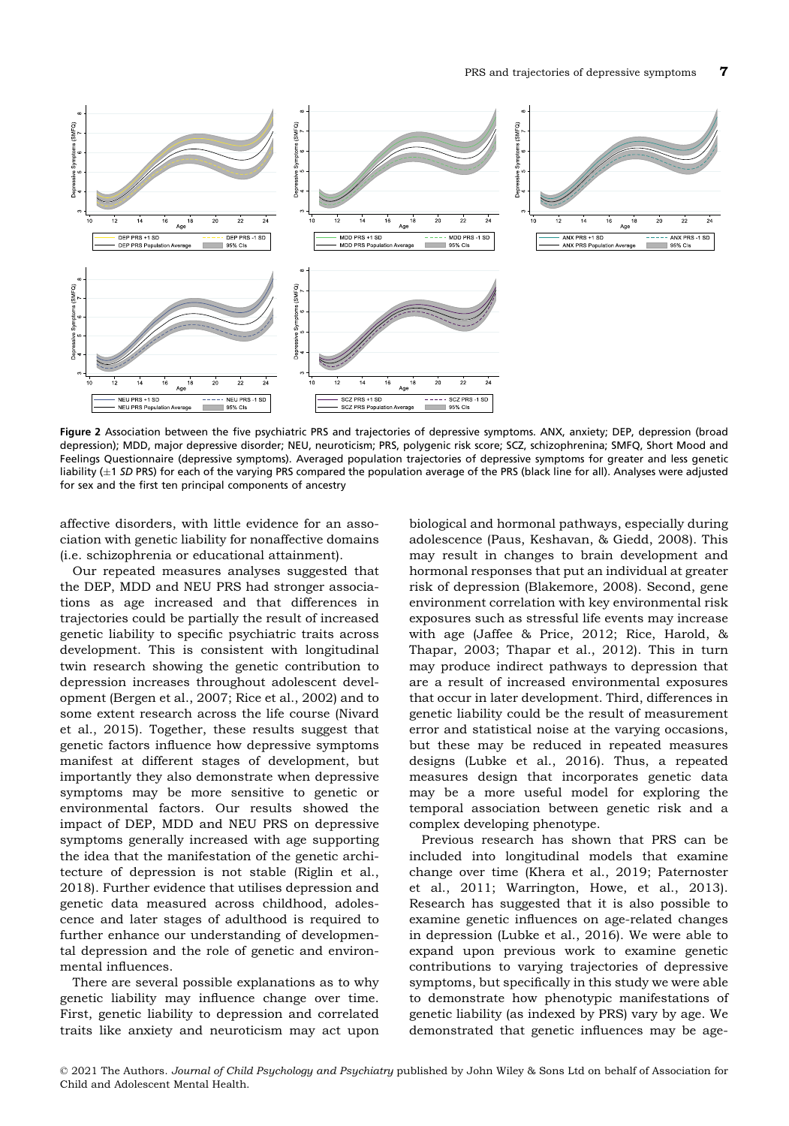

Figure 2 Association between the five psychiatric PRS and trajectories of depressive symptoms. ANX, anxiety; DEP, depression (broad depression); MDD, major depressive disorder; NEU, neuroticism; PRS, polygenic risk score; SCZ, schizophrenina; SMFQ, Short Mood and Feelings Questionnaire (depressive symptoms). Averaged population trajectories of depressive symptoms for greater and less genetic liability  $(\pm 1$  SD PRS) for each of the varying PRS compared the population average of the PRS (black line for all). Analyses were adjusted for sex and the first ten principal components of ancestry

affective disorders, with little evidence for an association with genetic liability for nonaffective domains (i.e. schizophrenia or educational attainment).

Our repeated measures analyses suggested that the DEP, MDD and NEU PRS had stronger associations as age increased and that differences in trajectories could be partially the result of increased genetic liability to specific psychiatric traits across development. This is consistent with longitudinal twin research showing the genetic contribution to depression increases throughout adolescent development (Bergen et al., 2007; Rice et al., 2002) and to some extent research across the life course (Nivard et al., 2015). Together, these results suggest that genetic factors influence how depressive symptoms manifest at different stages of development, but importantly they also demonstrate when depressive symptoms may be more sensitive to genetic or environmental factors. Our results showed the impact of DEP, MDD and NEU PRS on depressive symptoms generally increased with age supporting the idea that the manifestation of the genetic architecture of depression is not stable (Riglin et al., 2018). Further evidence that utilises depression and genetic data measured across childhood, adolescence and later stages of adulthood is required to further enhance our understanding of developmental depression and the role of genetic and environmental influences.

There are several possible explanations as to why genetic liability may influence change over time. First, genetic liability to depression and correlated traits like anxiety and neuroticism may act upon

biological and hormonal pathways, especially during adolescence (Paus, Keshavan, & Giedd, 2008). This may result in changes to brain development and hormonal responses that put an individual at greater risk of depression (Blakemore, 2008). Second, gene environment correlation with key environmental risk exposures such as stressful life events may increase with age (Jaffee & Price, 2012; Rice, Harold, & Thapar, 2003; Thapar et al., 2012). This in turn may produce indirect pathways to depression that are a result of increased environmental exposures that occur in later development. Third, differences in genetic liability could be the result of measurement error and statistical noise at the varying occasions, but these may be reduced in repeated measures designs (Lubke et al., 2016). Thus, a repeated measures design that incorporates genetic data may be a more useful model for exploring the temporal association between genetic risk and a complex developing phenotype.

Previous research has shown that PRS can be included into longitudinal models that examine change over time (Khera et al., 2019; Paternoster et al., 2011; Warrington, Howe, et al., 2013). Research has suggested that it is also possible to examine genetic influences on age-related changes in depression (Lubke et al., 2016). We were able to expand upon previous work to examine genetic contributions to varying trajectories of depressive symptoms, but specifically in this study we were able to demonstrate how phenotypic manifestations of genetic liability (as indexed by PRS) vary by age. We demonstrated that genetic influences may be age-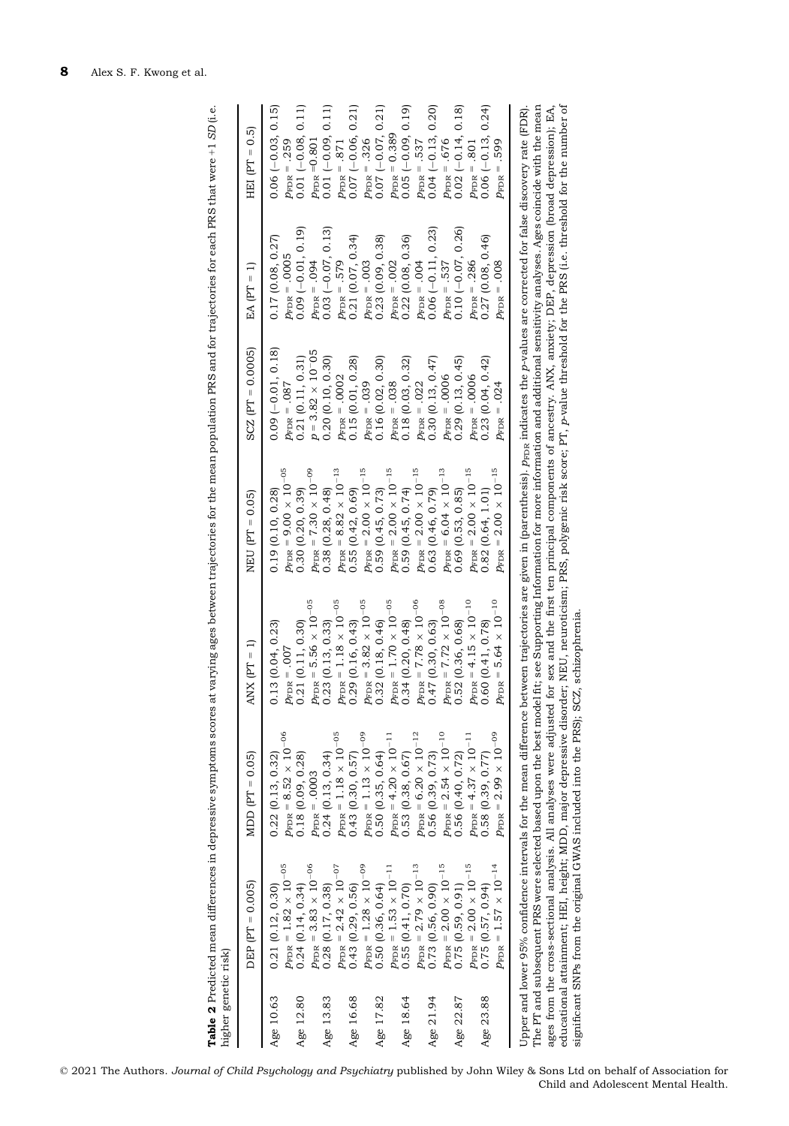|           | $DEF (PT = 0.005)$                              | MDD $[PT = 0.05]$                                                                                                                                                                                                                                               | ANX $(PT = 1)$                                                       | $NEU$ $[PT = 0.05]$                                                                                               | $SCZ$ $[PT = 0.0005]$      | EA $[PT = 1]$            | $HT = 0.5$              |
|-----------|-------------------------------------------------|-----------------------------------------------------------------------------------------------------------------------------------------------------------------------------------------------------------------------------------------------------------------|----------------------------------------------------------------------|-------------------------------------------------------------------------------------------------------------------|----------------------------|--------------------------|-------------------------|
| Age 10.63 | 0.21(0.12, 0.30)                                | 0.22(0.13, 0.32)                                                                                                                                                                                                                                                | .13(0.04, 0.23)<br>Ö                                                 | 0.19(0.10, 0.28)                                                                                                  | $0.09$ $(-0.01, 0.18)$     | 0.17(0.08, 0.27)         | $0.06 (-0.03, 0.15)$    |
|           | $p_{\rm FDR}=1.82\,\times\,10^{-05}$            | $p_{\text{FDR}}=8.52\,\times\,10^{-06}$                                                                                                                                                                                                                         |                                                                      | $p_{\rm FDR}$ = 9.00 $\times$ 10 $^{-05}$                                                                         | $p_{\rm FDR} = .087$       | $p_{\text{FDR}} = .0005$ | $p_{\text{FDR}} = .259$ |
| Age 12.80 | 0.24(0.14, 0.34)                                | 0.18(0.09, 0.28)                                                                                                                                                                                                                                                | $p_{\rm FDR}$ = .007<br>0.21 (0.11, 0.30)                            | 0.30(0.20, 0.39)                                                                                                  | 0.21(0.11, 0.31)           | $0.09 (-0.01, 0.19)$     | $0.01 (-0.08, 0.11)$    |
|           | $p_{\rm FDR} = 3.83 \times 10^{-06}$            | $p_{\text{FDR}} = .0003$                                                                                                                                                                                                                                        |                                                                      |                                                                                                                   | $p = 3.82 \times 10^{-05}$ | $p_{\rm FDR} = .094$     | $p_{\rm FDR}$ =0.801    |
| Age 13.83 | 0.28(0.17, 0.38)                                | 0.24(0.13, 0.34)                                                                                                                                                                                                                                                | $p_{\rm FDR}$ = 5.56 × 10 <sup>-05</sup><br>0.23 (0.13, 0.33)        | $p_{\rm FDR}$ = $7.30 \times 10^{-09}$<br>0.38 (0.28, 0.48)                                                       | 0.20(0.10, 0.30)           | $0.03$ (-0.07, 0.13)     | $0.01 (-0.09, 0.11)$    |
|           | $p_{\rm FDR}$ = 2.42 $\times$ 10 <sup>-07</sup> | $p_{\rm FDR}$ = 1.18 $\times$ 10 <sup>-05</sup>                                                                                                                                                                                                                 |                                                                      | $p_{\rm FDR}$ = 8.82 $\times$ 10 <sup>-13</sup>                                                                   | $p_{\rm FDR} = .0002$      | $p_{\text{FDR}} = .579$  | $p_{\text{FDR}} = .871$ |
| Age 16.68 | 0.43(0.29, 0.56)                                | 0.43(0.30, 0.57)                                                                                                                                                                                                                                                | $p_{\rm FDR}$ = 1.18 $\times$ 10 <sup>-05</sup><br>0.29 (0.16, 0.43) | 0.55(0.42, 0.69)                                                                                                  | 0.15(0.01, 0.28)           | 0.21(0.07, 0.34)         | $0.07 (-0.06, 0.21)$    |
|           | $p_{\text{FDR}}=1.28\,\times\,10^{-09}$         | $p_{\text{FDR}} = 1.13 \times 10^{-09}$                                                                                                                                                                                                                         |                                                                      | $p_{\rm FDR}$ = 2.00 $\times$ 10 <sup>-15</sup>                                                                   | $p_{\text{FDR}} = .039$    | $p_{\text{FDR}} = .003$  | $p_{\text{FDR}} = .326$ |
| Age 17.82 | 0.50(0.36, 0.64)                                | 0.50(0.35, 0.64)                                                                                                                                                                                                                                                | $p_{\rm FDR}$ = 3.82 $\times$ 10 <sup>-05</sup><br>0.32 (0.18, 0.46) | 0.59(0.45, 0.73)                                                                                                  | 0.16(0.02, 0.30)           | 0.23(0.09, 0.38)         | $0.07 (-0.07, 0.21)$    |
|           | $p_{\text{FDR}}=1.53\,\times\,10^{-11}$         | $p_{\text{FDR}} = 4.20 \times 10^{-11}$                                                                                                                                                                                                                         |                                                                      | $p_{\rm FDR}$ = 2.00 $\times$ 10 <sup>-15</sup>                                                                   | $p_{\text{FDR}} = .038$    | $p_{\rm FDR}$ = .002     | $p_{\rm FDR} = 0.389$   |
| Age 18.64 | 0.55(0.41, 0.70)                                | 0.53(0.38, 0.67)                                                                                                                                                                                                                                                | $p_{\rm FDR}$ = 1.70 $\times$ 10 <sup>-05</sup><br>0.34 (0.20, 0.48) | 0.59(0.45, 0.74)                                                                                                  | 0.18(0.03, 0.32)           | 0.22(0.08, 0.36)         | $0.05 (-0.09, 0.19)$    |
|           | $p_{\rm FDR}$ = 2.79 $\times$ $10^{-13}$        | $p_{\text{FDR}} = 6.20 \times 10^{-12}$                                                                                                                                                                                                                         |                                                                      | $p_{\rm FDR}$ = 2.00 $\times$ 10 <sup>-15</sup>                                                                   | $p_{\rm FDR}$ = .022       | $p_{\rm FDR} = .004$     | $p_{\text{FDR}} = .537$ |
| Age 21.94 | 0.73(0.56, 0.90)                                | 0.56(0.39, 0.73)                                                                                                                                                                                                                                                | $p_{\rm FDR}$ = $7.78 \times 10^{-06}$<br>0.47 (0.30, 0.63)          | 0.63 (0.46, 0.79)                                                                                                 | 0.30(0.13, 0.47)           | $0.06 (-0.11, 0.23)$     | $0.04 (-0.13, 0.20)$    |
|           | $p_{\text{FDR}} = 2.00 \times 10^{-15}$         | $p_{\text{FDR}} = 2.54 \times 10^{-10}$                                                                                                                                                                                                                         |                                                                      |                                                                                                                   | $p_{\text{FDR}} = .0006$   | $p_{\text{FDR}} = .537$  | $p_{\text{FDR}} = .676$ |
| Age 22.87 | 0.75(0.59, 0.91)                                | 0.56 (0.40, 0.72)                                                                                                                                                                                                                                               | $p_{\text{FDR}} = 7.72 \times 10^{-08}$<br>0.52 (0.36, 0.68)         | $p_{\text{FDR}} = 6.04 \times 10^{-13}$<br>0.69 (0.53, 0.85)                                                      | 0.29(0.13, 0.45)           | $0.10 (-0.07, 0.26)$     | $0.02(-0.14, 0.18)$     |
|           | $p_{\text{FDR}}=2.00\times10^{-15}$             | $p_{\text{FDR}} = 4.37 \times 10^{-11}$                                                                                                                                                                                                                         |                                                                      | $p_{\rm FDR}$ = 2.00 $\times$ 10 <sup>-15</sup>                                                                   | $p_{\rm FDR} = .0006$      | $p_{\rm FDR} = .286$     | $p_{\text{FDR}} = .801$ |
| Age 23.88 | 0.75(0.57, 0.94)                                | 0.58(0.39, 0.77)                                                                                                                                                                                                                                                | $p_{\rm FDR}$ = 4.15 $\times$ 10 <sup>-10</sup><br>0.60 (0.41, 0.78) | 0.82(0.64, 1.01)                                                                                                  | 0.23(0.04, 0.42)           | 0.27(0.08, 0.46)         | $0.06 (-0.13, 0.24)$    |
|           | $p_{\rm FDR}$ = $1.57$ $\times$ $10^{-14}$      | $p_{\rm FDR}$ = 2.99 $\times$ 10 <sup>-09</sup>                                                                                                                                                                                                                 | $p_{\rm FDR}$ = 5.64 $\times$ 10 <sup>-10</sup>                      | $p_{\rm FDR}$ = 2.00 $\times$ $10^{-15}$                                                                          | $p_{\rm FDR} = .024$       | $p_{\rm FDR} = .008$     | $p_{\text{FDR}} = .599$ |
|           |                                                 | Upper and lower 95% confidence intervals for the mean difference between trajectories are given in (parenthesis). $p_{\rm FDR}$ indicates the $p$ -values are corrected for false discovery rate (FDR)                                                          |                                                                      |                                                                                                                   |                            |                          |                         |
|           |                                                 | The PT and subsequent PRS were selected based upon the best model fit; see Supporting Information for more information and additional sensitivity analyses. Ages coincide with the mean<br>ages from the cross-sectional analysis. All analyses were adjusted i |                                                                      | for sex and the first ten principal components of ancestry. ANX, anxiety; DEP, depression (broad depression); EA, |                            |                          |                         |
|           |                                                 | educational attainment; HEI, height; MDD, major depressive disorder; NEU, neuroticism; PRS, polygenic risk score; PT, p-value threshold for the PRS (i.e. threshold for the number of                                                                           |                                                                      |                                                                                                                   |                            |                          |                         |

significant SNPs from the original GWAS included into the PRS); SCZ, schizophrenia.

significant SNPs from the original GWAS included into the PRS); SCZ, schizophrenia.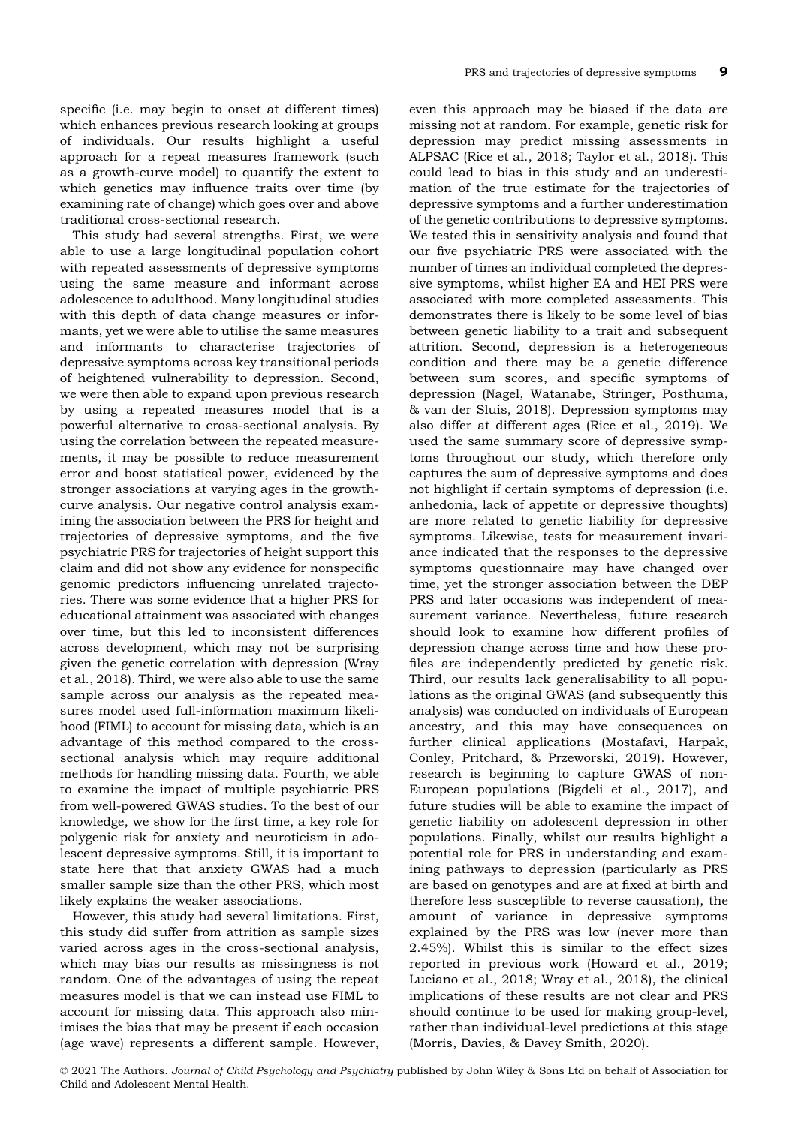specific (i.e. may begin to onset at different times) which enhances previous research looking at groups of individuals. Our results highlight a useful approach for a repeat measures framework (such as a growth-curve model) to quantify the extent to which genetics may influence traits over time (by examining rate of change) which goes over and above traditional cross-sectional research.

This study had several strengths. First, we were able to use a large longitudinal population cohort with repeated assessments of depressive symptoms using the same measure and informant across adolescence to adulthood. Many longitudinal studies with this depth of data change measures or informants, yet we were able to utilise the same measures and informants to characterise trajectories of depressive symptoms across key transitional periods of heightened vulnerability to depression. Second, we were then able to expand upon previous research by using a repeated measures model that is a powerful alternative to cross-sectional analysis. By using the correlation between the repeated measurements, it may be possible to reduce measurement error and boost statistical power, evidenced by the stronger associations at varying ages in the growthcurve analysis. Our negative control analysis examining the association between the PRS for height and trajectories of depressive symptoms, and the five psychiatric PRS for trajectories of height support this claim and did not show any evidence for nonspecific genomic predictors influencing unrelated trajectories. There was some evidence that a higher PRS for educational attainment was associated with changes over time, but this led to inconsistent differences across development, which may not be surprising given the genetic correlation with depression (Wray et al., 2018). Third, we were also able to use the same sample across our analysis as the repeated measures model used full-information maximum likelihood (FIML) to account for missing data, which is an advantage of this method compared to the crosssectional analysis which may require additional methods for handling missing data. Fourth, we able to examine the impact of multiple psychiatric PRS from well-powered GWAS studies. To the best of our knowledge, we show for the first time, a key role for polygenic risk for anxiety and neuroticism in adolescent depressive symptoms. Still, it is important to state here that that anxiety GWAS had a much smaller sample size than the other PRS, which most likely explains the weaker associations.

However, this study had several limitations. First, this study did suffer from attrition as sample sizes varied across ages in the cross-sectional analysis, which may bias our results as missingness is not random. One of the advantages of using the repeat measures model is that we can instead use FIML to account for missing data. This approach also minimises the bias that may be present if each occasion (age wave) represents a different sample. However,

even this approach may be biased if the data are missing not at random. For example, genetic risk for depression may predict missing assessments in ALPSAC (Rice et al., 2018; Taylor et al., 2018). This could lead to bias in this study and an underestimation of the true estimate for the trajectories of depressive symptoms and a further underestimation of the genetic contributions to depressive symptoms. We tested this in sensitivity analysis and found that our five psychiatric PRS were associated with the number of times an individual completed the depressive symptoms, whilst higher EA and HEI PRS were associated with more completed assessments. This demonstrates there is likely to be some level of bias between genetic liability to a trait and subsequent attrition. Second, depression is a heterogeneous condition and there may be a genetic difference between sum scores, and specific symptoms of depression (Nagel, Watanabe, Stringer, Posthuma, & van der Sluis, 2018). Depression symptoms may also differ at different ages (Rice et al., 2019). We used the same summary score of depressive symptoms throughout our study, which therefore only captures the sum of depressive symptoms and does not highlight if certain symptoms of depression (i.e. anhedonia, lack of appetite or depressive thoughts) are more related to genetic liability for depressive symptoms. Likewise, tests for measurement invariance indicated that the responses to the depressive symptoms questionnaire may have changed over time, yet the stronger association between the DEP PRS and later occasions was independent of measurement variance. Nevertheless, future research should look to examine how different profiles of depression change across time and how these profiles are independently predicted by genetic risk. Third, our results lack generalisability to all populations as the original GWAS (and subsequently this analysis) was conducted on individuals of European ancestry, and this may have consequences on further clinical applications (Mostafavi, Harpak, Conley, Pritchard, & Przeworski, 2019). However, research is beginning to capture GWAS of non-European populations (Bigdeli et al., 2017), and future studies will be able to examine the impact of genetic liability on adolescent depression in other populations. Finally, whilst our results highlight a potential role for PRS in understanding and examining pathways to depression (particularly as PRS are based on genotypes and are at fixed at birth and therefore less susceptible to reverse causation), the amount of variance in depressive symptoms explained by the PRS was low (never more than 2.45%). Whilst this is similar to the effect sizes reported in previous work (Howard et al., 2019; Luciano et al., 2018; Wray et al., 2018), the clinical implications of these results are not clear and PRS should continue to be used for making group-level, rather than individual-level predictions at this stage (Morris, Davies, & Davey Smith, 2020).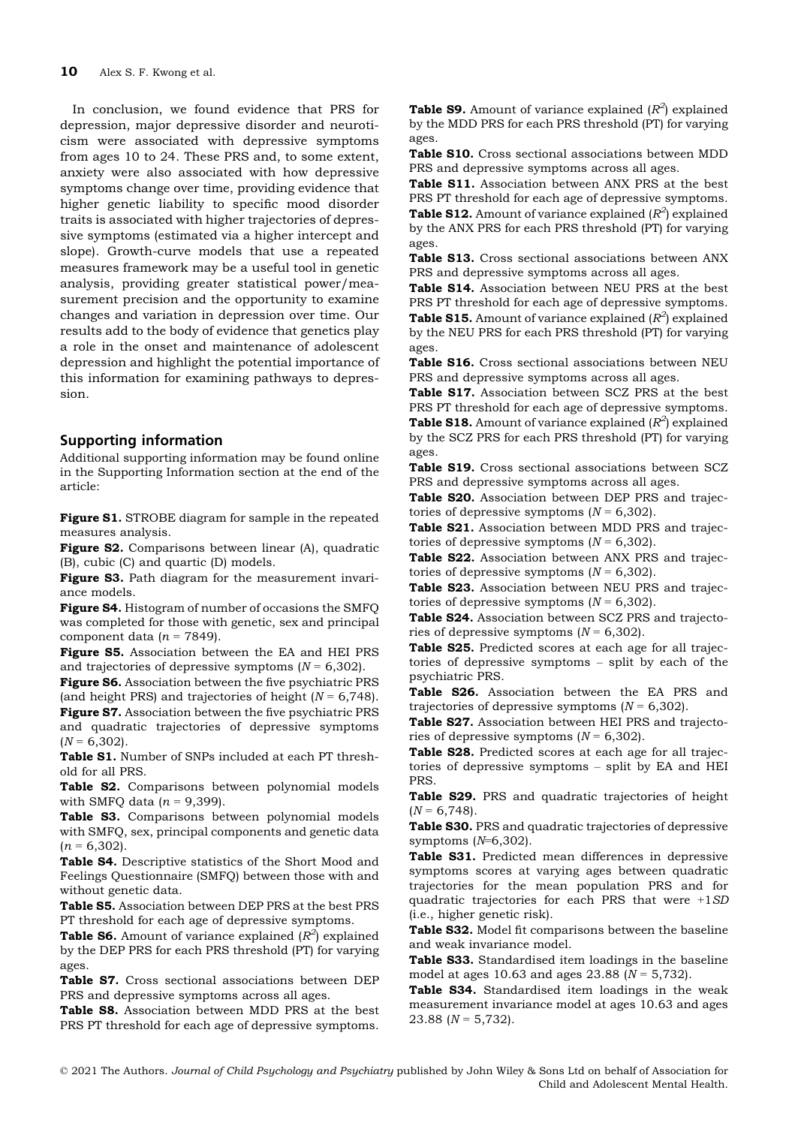In conclusion, we found evidence that PRS for depression, major depressive disorder and neuroticism were associated with depressive symptoms from ages 10 to 24. These PRS and, to some extent, anxiety were also associated with how depressive symptoms change over time, providing evidence that higher genetic liability to specific mood disorder traits is associated with higher trajectories of depressive symptoms (estimated via a higher intercept and slope). Growth-curve models that use a repeated measures framework may be a useful tool in genetic analysis, providing greater statistical power/measurement precision and the opportunity to examine changes and variation in depression over time. Our results add to the body of evidence that genetics play a role in the onset and maintenance of adolescent depression and highlight the potential importance of this information for examining pathways to depression.

## Supporting information

Additional supporting information may be found online in the Supporting Information section at the end of the article:

Figure S1. STROBE diagram for sample in the repeated measures analysis.

Figure S2. Comparisons between linear (A), quadratic (B), cubic (C) and quartic (D) models.

Figure S3. Path diagram for the measurement invariance models.

Figure S4. Histogram of number of occasions the SMFQ was completed for those with genetic, sex and principal component data ( $n = 7849$ ).

Figure S5. Association between the EA and HEI PRS and trajectories of depressive symptoms  $(N = 6,302)$ .

Figure S6. Association between the five psychiatric PRS (and height PRS) and trajectories of height ( $N = 6,748$ ). Figure S7. Association between the five psychiatric PRS and quadratic trajectories of depressive symptoms  $(N = 6,302)$ .

Table S1. Number of SNPs included at each PT threshold for all PRS.

Table S2. Comparisons between polynomial models with SMFQ data  $(n = 9,399)$ .

Table S3. Comparisons between polynomial models with SMFQ, sex, principal components and genetic data  $(n = 6,302)$ .

Table S4. Descriptive statistics of the Short Mood and Feelings Questionnaire (SMFQ) between those with and without genetic data.

Table S5. Association between DEP PRS at the best PRS PT threshold for each age of depressive symptoms.

Table S6. Amount of variance explained  $(R^2)$  explained by the DEP PRS for each PRS threshold (PT) for varying ages.

Table S7. Cross sectional associations between DEP PRS and depressive symptoms across all ages.

Table S8. Association between MDD PRS at the best PRS PT threshold for each age of depressive symptoms.

Table S9. Amount of variance explained  $(R^2)$  explained by the MDD PRS for each PRS threshold (PT) for varying ages.

Table S10. Cross sectional associations between MDD PRS and depressive symptoms across all ages.

Table S11. Association between ANX PRS at the best PRS PT threshold for each age of depressive symptoms.

**Table S12.** Amount of variance explained ( $R^2$ ) explained by the ANX PRS for each PRS threshold (PT) for varying ages.

Table S13. Cross sectional associations between ANX PRS and depressive symptoms across all ages.

Table S14. Association between NEU PRS at the best PRS PT threshold for each age of depressive symptoms. **Table S15.** Amount of variance explained ( $R^2$ ) explained by the NEU PRS for each PRS threshold (PT) for varying ages.

Table S16. Cross sectional associations between NEU PRS and depressive symptoms across all ages.

Table S17. Association between SCZ PRS at the best PRS PT threshold for each age of depressive symptoms. **Table S18.** Amount of variance explained  $(R^2)$  explained by the SCZ PRS for each PRS threshold (PT) for varying ages.

Table S19. Cross sectional associations between SCZ PRS and depressive symptoms across all ages.

Table S20. Association between DEP PRS and trajectories of depressive symptoms  $(N = 6,302)$ .

Table S21. Association between MDD PRS and trajectories of depressive symptoms  $(N = 6,302)$ .

Table S22. Association between ANX PRS and trajectories of depressive symptoms  $(N = 6,302)$ .

Table S23. Association between NEU PRS and trajectories of depressive symptoms  $(N = 6,302)$ .

Table S24. Association between SCZ PRS and trajectories of depressive symptoms  $(N = 6,302)$ .

Table S25. Predicted scores at each age for all trajectories of depressive symptoms – split by each of the psychiatric PRS.

Table S26. Association between the EA PRS and trajectories of depressive symptoms  $(N = 6,302)$ .

Table S27. Association between HEI PRS and trajectories of depressive symptoms  $(N = 6,302)$ .

Table S28. Predicted scores at each age for all trajectories of depressive symptoms – split by EA and HEI PRS.

Table S29. PRS and quadratic trajectories of height  $(N = 6,748)$ .

Table S30. PRS and quadratic trajectories of depressive symptoms  $(N=6,302)$ .

Table S31. Predicted mean differences in depressive symptoms scores at varying ages between quadratic trajectories for the mean population PRS and for quadratic trajectories for each PRS that were +1SD (i.e., higher genetic risk).

Table S32. Model fit comparisons between the baseline and weak invariance model.

Table S33. Standardised item loadings in the baseline model at ages 10.63 and ages 23.88 ( $N = 5,732$ ).

Table S34. Standardised item loadings in the weak measurement invariance model at ages 10.63 and ages 23.88 ( $N = 5,732$ ).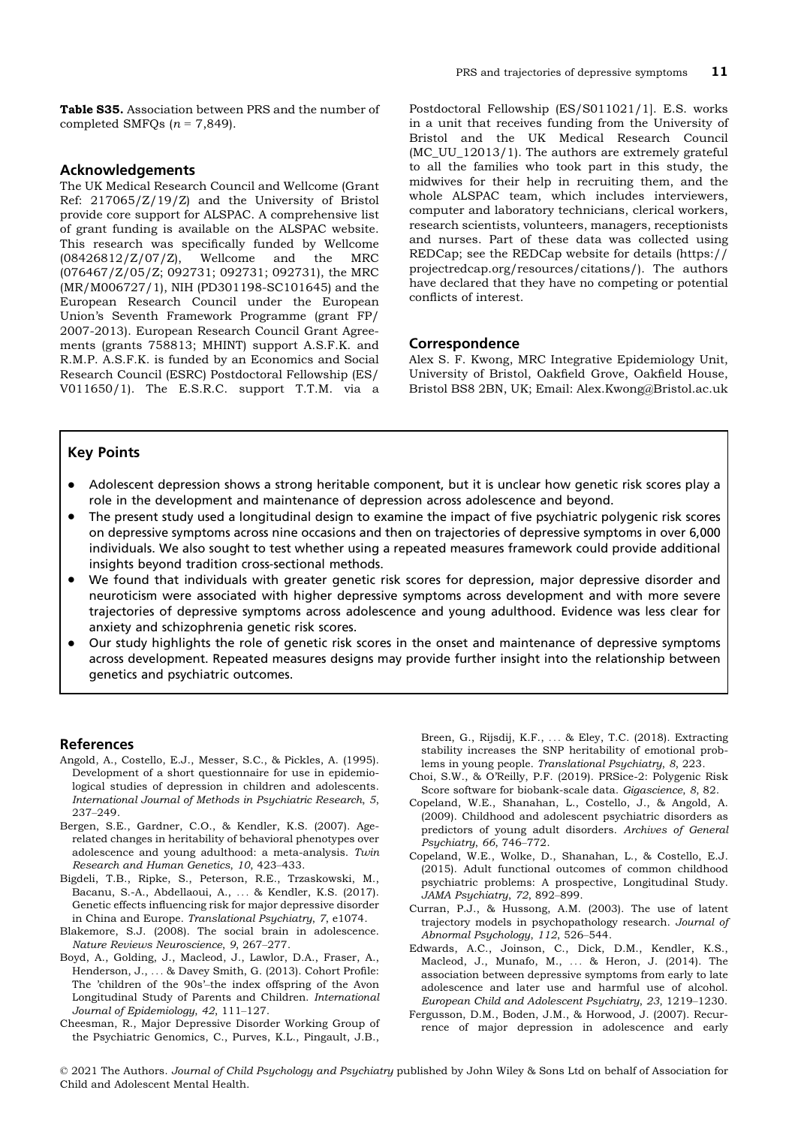Table S35. Association between PRS and the number of completed SMFQs  $(n = 7,849)$ .

#### Acknowledgements

The UK Medical Research Council and Wellcome (Grant Ref: 217065/Z/19/Z) and the University of Bristol provide core support for ALSPAC. A comprehensive list of grant funding is available on the ALSPAC website. This research was specifically funded by Wellcome (08426812/Z/07/Z), Wellcome and the MRC (076467/Z/05/Z; 092731; 092731; 092731), the MRC (MR/M006727/1), NIH (PD301198-SC101645) and the European Research Council under the European Union's Seventh Framework Programme (grant FP/ 2007-2013). European Research Council Grant Agreements (grants 758813; MHINT) support A.S.F.K. and R.M.P. A.S.F.K. is funded by an Economics and Social Research Council (ESRC) Postdoctoral Fellowship (ES/ V011650/1). The E.S.R.C. support T.T.M. via a

Postdoctoral Fellowship (ES/S011021/1]. E.S. works in a unit that receives funding from the University of Bristol and the UK Medical Research Council (MC\_UU\_12013/1). The authors are extremely grateful to all the families who took part in this study, the midwives for their help in recruiting them, and the whole ALSPAC team, which includes interviewers, computer and laboratory technicians, clerical workers, research scientists, volunteers, managers, receptionists and nurses. Part of these data was collected using REDCap; see the REDCap website for details [\(https://](https://projectredcap.org/resources/citations/) [projectredcap.org/resources/citations/\)](https://projectredcap.org/resources/citations/). The authors have declared that they have no competing or potential conflicts of interest.

#### Correspondence

Alex S. F. Kwong, MRC Integrative Epidemiology Unit, University of Bristol, Oakfield Grove, Oakfield House, Bristol BS8 2BN, UK; Email: Alex.Kwong@Bristol.ac.uk

## Key Points

- Adolescent depression shows a strong heritable component, but it is unclear how genetic risk scores play a role in the development and maintenance of depression across adolescence and beyond.
- The present study used a longitudinal design to examine the impact of five psychiatric polygenic risk scores on depressive symptoms across nine occasions and then on trajectories of depressive symptoms in over 6,000 individuals. We also sought to test whether using a repeated measures framework could provide additional insights beyond tradition cross-sectional methods.
- We found that individuals with greater genetic risk scores for depression, major depressive disorder and neuroticism were associated with higher depressive symptoms across development and with more severe trajectories of depressive symptoms across adolescence and young adulthood. Evidence was less clear for anxiety and schizophrenia genetic risk scores.
- Our study highlights the role of genetic risk scores in the onset and maintenance of depressive symptoms across development. Repeated measures designs may provide further insight into the relationship between genetics and psychiatric outcomes.

#### References

- Angold, A., Costello, E.J., Messer, S.C., & Pickles, A. (1995). Development of a short questionnaire for use in epidemiological studies of depression in children and adolescents. International Journal of Methods in Psychiatric Research, 5, 237–249.
- Bergen, S.E., Gardner, C.O., & Kendler, K.S. (2007). Agerelated changes in heritability of behavioral phenotypes over adolescence and young adulthood: a meta-analysis. Twin Research and Human Genetics, 10, 423–433.
- Bigdeli, T.B., Ripke, S., Peterson, R.E., Trzaskowski, M., Bacanu, S.-A., Abdellaoui, A., ... & Kendler, K.S. (2017). Genetic effects influencing risk for major depressive disorder in China and Europe. Translational Psychiatry, 7, e1074.
- Blakemore, S.J. (2008). The social brain in adolescence. Nature Reviews Neuroscience, 9, 267–277.
- Boyd, A., Golding, J., Macleod, J., Lawlor, D.A., Fraser, A., Henderson, J., ... & Davey Smith, G. (2013). Cohort Profile: The 'children of the 90s'–the index offspring of the Avon Longitudinal Study of Parents and Children. International Journal of Epidemiology, 42, 111–127.
- Cheesman, R., Major Depressive Disorder Working Group of the Psychiatric Genomics, C., Purves, K.L., Pingault, J.B.,

Breen, G., Rijsdij, K.F., ... & Eley, T.C. (2018). Extracting stability increases the SNP heritability of emotional problems in young people. Translational Psychiatry, 8, 223.

- Choi, S.W., & O'Reilly, P.F. (2019). PRSice-2: Polygenic Risk Score software for biobank-scale data. Gigascience, 8, 82.
- Copeland, W.E., Shanahan, L., Costello, J., & Angold, A. (2009). Childhood and adolescent psychiatric disorders as predictors of young adult disorders. Archives of General Psychiatry, 66, 746–772.
- Copeland, W.E., Wolke, D., Shanahan, L., & Costello, E.J. (2015). Adult functional outcomes of common childhood psychiatric problems: A prospective, Longitudinal Study. JAMA Psychiatry, 72, 892–899.
- Curran, P.J., & Hussong, A.M. (2003). The use of latent trajectory models in psychopathology research. Journal of Abnormal Psychology, 112, 526–544.
- Edwards, A.C., Joinson, C., Dick, D.M., Kendler, K.S., Macleod, J., Munafo, M., ... & Heron, J. (2014). The association between depressive symptoms from early to late adolescence and later use and harmful use of alcohol. European Child and Adolescent Psychiatry, 23, 1219–1230.
- Fergusson, D.M., Boden, J.M., & Horwood, J. (2007). Recurrence of major depression in adolescence and early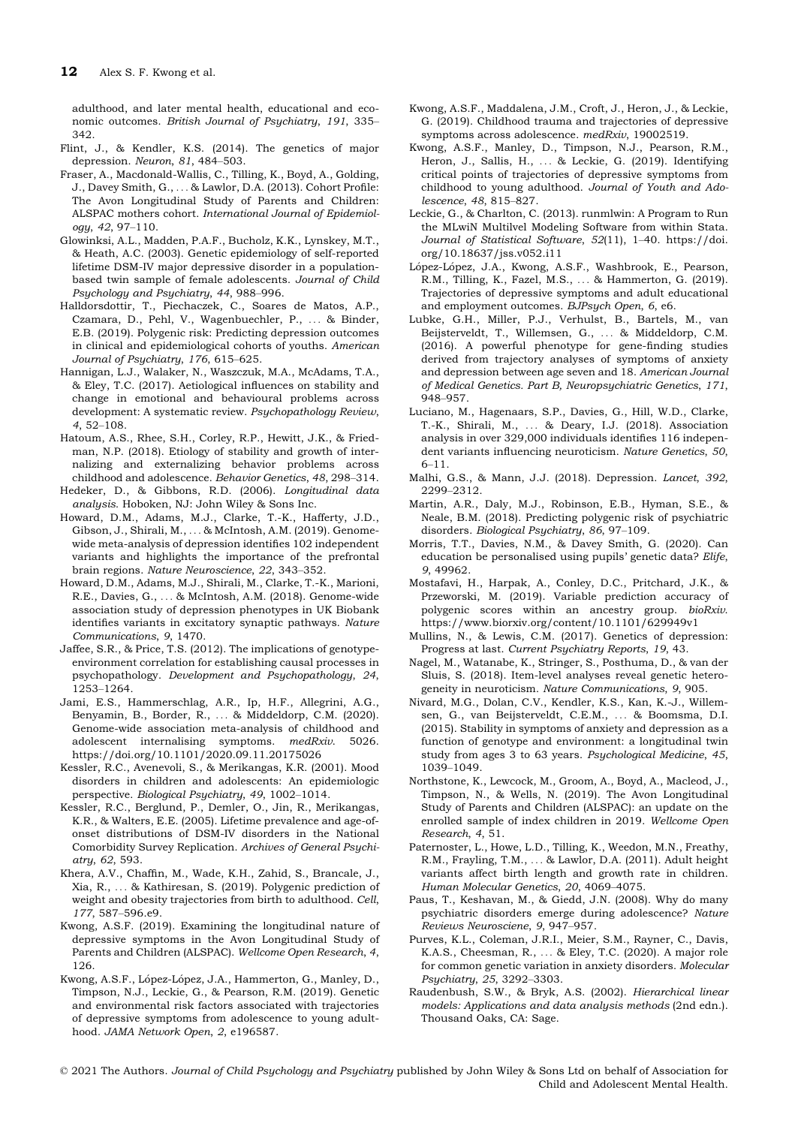adulthood, and later mental health, educational and economic outcomes. British Journal of Psychiatry, 191, 335– 342.

- Flint, J., & Kendler, K.S. (2014). The genetics of major depression. Neuron, 81, 484–503.
- Fraser, A., Macdonald-Wallis, C., Tilling, K., Boyd, A., Golding, J., Davey Smith, G., ... & Lawlor, D.A. (2013). Cohort Profile: The Avon Longitudinal Study of Parents and Children: ALSPAC mothers cohort. International Journal of Epidemiology, 42, 97–110.
- Glowinksi, A.L., Madden, P.A.F., Bucholz, K.K., Lynskey, M.T., & Heath, A.C. (2003). Genetic epidemiology of self-reported lifetime DSM-IV major depressive disorder in a populationbased twin sample of female adolescents. Journal of Child Psychology and Psychiatry, 44, 988–996.
- Halldorsdottir, T., Piechaczek, C., Soares de Matos, A.P., Czamara, D., Pehl, V., Wagenbuechler, P., ... & Binder, E.B. (2019). Polygenic risk: Predicting depression outcomes in clinical and epidemiological cohorts of youths. American Journal of Psychiatry, 176, 615–625.
- Hannigan, L.J., Walaker, N., Waszczuk, M.A., McAdams, T.A., & Eley, T.C. (2017). Aetiological influences on stability and change in emotional and behavioural problems across development: A systematic review. Psychopathology Review, 4, 52–108.
- Hatoum, A.S., Rhee, S.H., Corley, R.P., Hewitt, J.K., & Friedman, N.P. (2018). Etiology of stability and growth of internalizing and externalizing behavior problems across childhood and adolescence. Behavior Genetics, 48, 298–314.
- Hedeker, D., & Gibbons, R.D. (2006). Longitudinal data analysis. Hoboken, NJ: John Wiley & Sons Inc.
- Howard, D.M., Adams, M.J., Clarke, T.-K., Hafferty, J.D., Gibson, J., Shirali, M., ... & McIntosh, A.M. (2019). Genomewide meta-analysis of depression identifies 102 independent variants and highlights the importance of the prefrontal brain regions. Nature Neuroscience, 22, 343–352.
- Howard, D.M., Adams, M.J., Shirali, M., Clarke, T.-K., Marioni, R.E., Davies, G., ... & McIntosh, A.M. (2018). Genome-wide association study of depression phenotypes in UK Biobank identifies variants in excitatory synaptic pathways. Nature Communications, 9, 1470.
- Jaffee, S.R., & Price, T.S. (2012). The implications of genotypeenvironment correlation for establishing causal processes in psychopathology. Development and Psychopathology, 24, 1253–1264.
- Jami, E.S., Hammerschlag, A.R., Ip, H.F., Allegrini, A.G., Benyamin, B., Border, R., ... & Middeldorp, C.M. (2020). Genome-wide association meta-analysis of childhood and adolescent internalising symptoms. medRxiv. 5026. <https://doi.org/10.1101/2020.09.11.20175026>
- Kessler, R.C., Avenevoli, S., & Merikangas, K.R. (2001). Mood disorders in children and adolescents: An epidemiologic perspective. Biological Psychiatry, 49, 1002–1014.
- Kessler, R.C., Berglund, P., Demler, O., Jin, R., Merikangas, K.R., & Walters, E.E. (2005). Lifetime prevalence and age-ofonset distributions of DSM-IV disorders in the National Comorbidity Survey Replication. Archives of General Psychiatry, 62, 593.
- Khera, A.V., Chaffin, M., Wade, K.H., Zahid, S., Brancale, J., Xia, R., ... & Kathiresan, S. (2019). Polygenic prediction of weight and obesity trajectories from birth to adulthood. Cell, 177, 587–596.e9.
- Kwong, A.S.F. (2019). Examining the longitudinal nature of depressive symptoms in the Avon Longitudinal Study of Parents and Children (ALSPAC). Wellcome Open Research, 4, 126.
- Kwong, A.S.F., López-López, J.A., Hammerton, G., Manley, D., Timpson, N.J., Leckie, G., & Pearson, R.M. (2019). Genetic and environmental risk factors associated with trajectories of depressive symptoms from adolescence to young adulthood. JAMA Network Open, 2, e196587.
- Kwong, A.S.F., Maddalena, J.M., Croft, J., Heron, J., & Leckie, G. (2019). Childhood trauma and trajectories of depressive symptoms across adolescence. medRxiv, 19002519.
- Kwong, A.S.F., Manley, D., Timpson, N.J., Pearson, R.M., Heron, J., Sallis, H., ... & Leckie, G. (2019). Identifying critical points of trajectories of depressive symptoms from childhood to young adulthood. Journal of Youth and Adolescence, 48, 815–827.
- Leckie, G., & Charlton, C. (2013). runmlwin: A Program to Run the MLwiN Multilvel Modeling Software from within Stata. Journal of Statistical Software, 52(11), 1–40. [https://doi.](https://doi.org/10.18637/jss.v052.i11) [org/10.18637/jss.v052.i11](https://doi.org/10.18637/jss.v052.i11)
- López-López, J.A., Kwong, A.S.F., Washbrook, E., Pearson, R.M., Tilling, K., Fazel, M.S., ... & Hammerton, G. (2019). Trajectories of depressive symptoms and adult educational and employment outcomes. BJPsych Open, 6, e6.
- Lubke, G.H., Miller, P.J., Verhulst, B., Bartels, M., van Beijsterveldt, T., Willemsen, G., ... & Middeldorp, C.M. (2016). A powerful phenotype for gene-finding studies derived from trajectory analyses of symptoms of anxiety and depression between age seven and 18. American Journal of Medical Genetics. Part B, Neuropsychiatric Genetics, 171, 948–957.
- Luciano, M., Hagenaars, S.P., Davies, G., Hill, W.D., Clarke, T.-K., Shirali, M., ... & Deary, I.J. (2018). Association analysis in over 329,000 individuals identifies 116 independent variants influencing neuroticism. Nature Genetics, 50, 6–11.
- Malhi, G.S., & Mann, J.J. (2018). Depression. Lancet, 392, 2299–2312.
- Martin, A.R., Daly, M.J., Robinson, E.B., Hyman, S.E., & Neale, B.M. (2018). Predicting polygenic risk of psychiatric disorders. Biological Psychiatry, 86, 97–109.
- Morris, T.T., Davies, N.M., & Davey Smith, G. (2020). Can education be personalised using pupils' genetic data? Elife, 9, 49962.
- Mostafavi, H., Harpak, A., Conley, D.C., Pritchard, J.K., & Przeworski, M. (2019). Variable prediction accuracy of polygenic scores within an ancestry group. bioRxiv. <https://www.biorxiv.org/content/10.1101/629949v1>
- Mullins, N., & Lewis, C.M. (2017). Genetics of depression: Progress at last. Current Psychiatry Reports, 19, 43.
- Nagel, M., Watanabe, K., Stringer, S., Posthuma, D., & van der Sluis, S. (2018). Item-level analyses reveal genetic heterogeneity in neuroticism. Nature Communications, 9, 905.
- Nivard, M.G., Dolan, C.V., Kendler, K.S., Kan, K.-J., Willemsen, G., van Beijsterveldt, C.E.M., ... & Boomsma, D.I. (2015). Stability in symptoms of anxiety and depression as a function of genotype and environment: a longitudinal twin study from ages 3 to 63 years. Psychological Medicine, 45, 1039–1049.
- Northstone, K., Lewcock, M., Groom, A., Boyd, A., Macleod, J., Timpson, N., & Wells, N. (2019). The Avon Longitudinal Study of Parents and Children (ALSPAC): an update on the enrolled sample of index children in 2019. Wellcome Open Research, 4, 51.
- Paternoster, L., Howe, L.D., Tilling, K., Weedon, M.N., Freathy, R.M., Frayling, T.M., ... & Lawlor, D.A. (2011). Adult height variants affect birth length and growth rate in children. Human Molecular Genetics, 20, 4069–4075.
- Paus, T., Keshavan, M., & Giedd, J.N. (2008). Why do many psychiatric disorders emerge during adolescence? Nature Reviews Neurosciene, 9, 947–957.
- Purves, K.L., Coleman, J.R.I., Meier, S.M., Rayner, C., Davis, K.A.S., Cheesman, R., ... & Eley, T.C. (2020). A major role for common genetic variation in anxiety disorders. Molecular Psychiatry, 25, 3292–3303.
- Raudenbush, S.W., & Bryk, A.S. (2002). Hierarchical linear models: Applications and data analysis methods (2nd edn.). Thousand Oaks, CA: Sage.